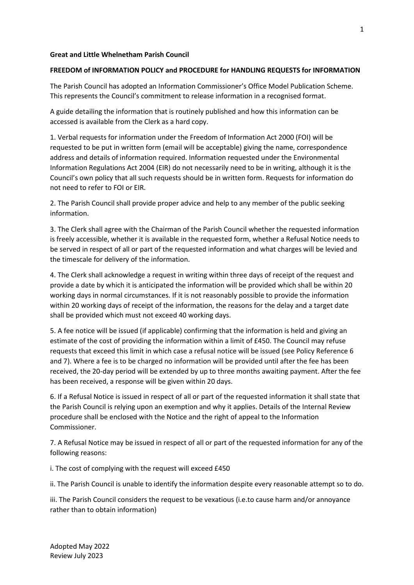# **Great and Little Whelnetham Parish Council**

## **FREEDOM of INFORMATION POLICY and PROCEDURE for HANDLING REQUESTS for INFORMATION**

The Parish Council has adopted an Information Commissioner's Office Model Publication Scheme. This represents the Council's commitment to release information in a recognised format.

A guide detailing the information that is routinely published and how this information can be accessed is available from the Clerk as a hard copy.

1. Verbal requests for information under the Freedom of Information Act 2000 (FOI) will be requested to be put in written form (email will be acceptable) giving the name, correspondence address and details of information required. Information requested under the Environmental Information Regulations Act 2004 (EIR) do not necessarily need to be in writing, although it is the Council's own policy that all such requests should be in written form. Requests for information do not need to refer to FOI or EIR.

2. The Parish Council shall provide proper advice and help to any member of the public seeking information.

3. The Clerk shall agree with the Chairman of the Parish Council whether the requested information is freely accessible, whether it is available in the requested form, whether a Refusal Notice needs to be served in respect of all or part of the requested information and what charges will be levied and the timescale for delivery of the information.

4. The Clerk shall acknowledge a request in writing within three days of receipt of the request and provide a date by which it is anticipated the information will be provided which shall be within 20 working days in normal circumstances. If it is not reasonably possible to provide the information within 20 working days of receipt of the information, the reasons for the delay and a target date shall be provided which must not exceed 40 working days.

5. A fee notice will be issued (if applicable) confirming that the information is held and giving an estimate of the cost of providing the information within a limit of £450. The Council may refuse requests that exceed this limit in which case a refusal notice will be issued (see Policy Reference 6 and 7). Where a fee is to be charged no information will be provided until after the fee has been received, the 20-day period will be extended by up to three months awaiting payment. After the fee has been received, a response will be given within 20 days.

6. If a Refusal Notice is issued in respect of all or part of the requested information it shall state that the Parish Council is relying upon an exemption and why it applies. Details of the Internal Review procedure shall be enclosed with the Notice and the right of appeal to the Information Commissioner.

7. A Refusal Notice may be issued in respect of all or part of the requested information for any of the following reasons:

i. The cost of complying with the request will exceed £450

ii. The Parish Council is unable to identify the information despite every reasonable attempt so to do.

iii. The Parish Council considers the request to be vexatious (i.e.to cause harm and/or annoyance rather than to obtain information)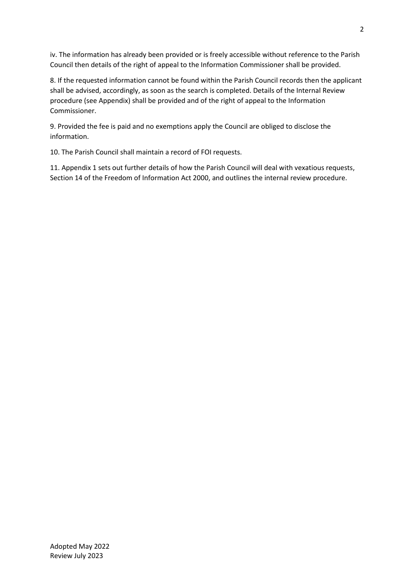iv. The information has already been provided or is freely accessible without reference to the Parish Council then details of the right of appeal to the Information Commissioner shall be provided.

8. If the requested information cannot be found within the Parish Council records then the applicant shall be advised, accordingly, as soon as the search is completed. Details of the Internal Review procedure (see Appendix) shall be provided and of the right of appeal to the Information Commissioner.

9. Provided the fee is paid and no exemptions apply the Council are obliged to disclose the information.

10. The Parish Council shall maintain a record of FOI requests.

11. Appendix 1 sets out further details of how the Parish Council will deal with vexatious requests, Section 14 of the Freedom of Information Act 2000, and outlines the internal review procedure.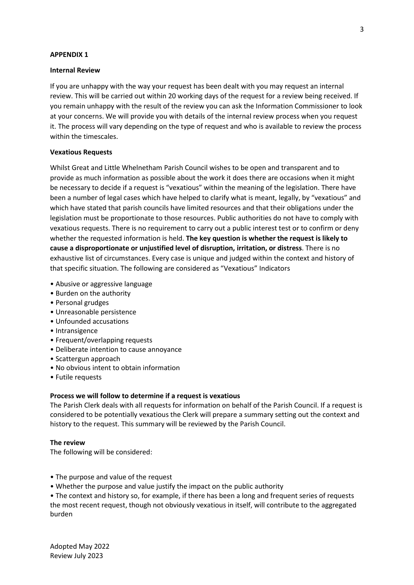### **APPENDIX 1**

### **Internal Review**

If you are unhappy with the way your request has been dealt with you may request an internal review. This will be carried out within 20 working days of the request for a review being received. If you remain unhappy with the result of the review you can ask the Information Commissioner to look at your concerns. We will provide you with details of the internal review process when you request it. The process will vary depending on the type of request and who is available to review the process within the timescales.

## **Vexatious Requests**

Whilst Great and Little Whelnetham Parish Council wishes to be open and transparent and to provide as much information as possible about the work it does there are occasions when it might be necessary to decide if a request is "vexatious" within the meaning of the legislation. There have been a number of legal cases which have helped to clarify what is meant, legally, by "vexatious" and which have stated that parish councils have limited resources and that their obligations under the legislation must be proportionate to those resources. Public authorities do not have to comply with vexatious requests. There is no requirement to carry out a public interest test or to confirm or deny whether the requested information is held. **The key question is whether the request is likely to cause a disproportionate or unjustified level of disruption, irritation, or distress**. There is no exhaustive list of circumstances. Every case is unique and judged within the context and history of that specific situation. The following are considered as "Vexatious" Indicators

- Abusive or aggressive language
- Burden on the authority
- Personal grudges
- Unreasonable persistence
- Unfounded accusations
- Intransigence
- Frequent/overlapping requests
- Deliberate intention to cause annoyance
- Scattergun approach
- No obvious intent to obtain information
- Futile requests

# **Process we will follow to determine if a request is vexatious**

The Parish Clerk deals with all requests for information on behalf of the Parish Council. If a request is considered to be potentially vexatious the Clerk will prepare a summary setting out the context and history to the request. This summary will be reviewed by the Parish Council.

# **The review**

The following will be considered:

- The purpose and value of the request
- Whether the purpose and value justify the impact on the public authority

• The context and history so, for example, if there has been a long and frequent series of requests the most recent request, though not obviously vexatious in itself, will contribute to the aggregated burden